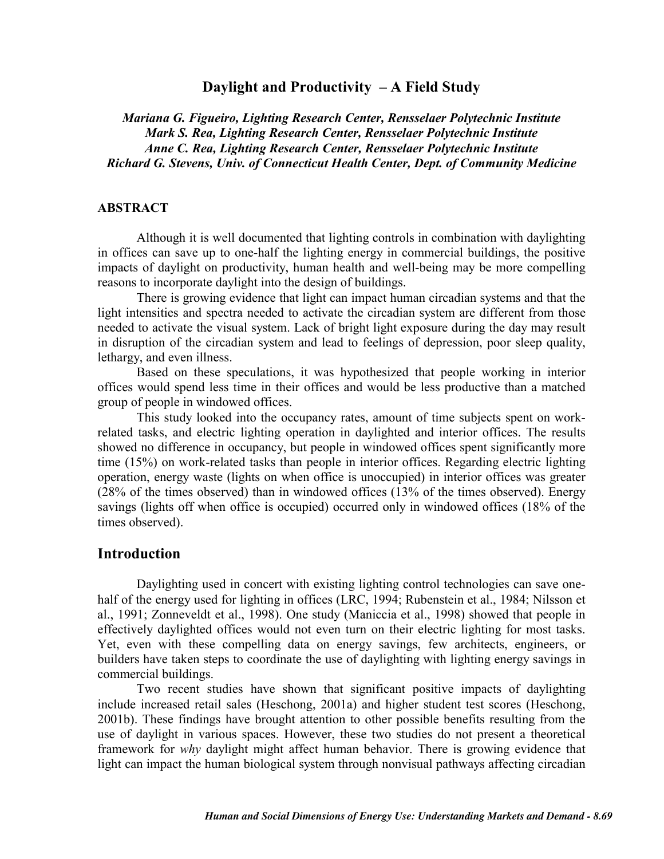## **Daylight and Productivity – A Field Study**

*Mariana G. Figueiro, Lighting Research Center, Rensselaer Polytechnic Institute Mark S. Rea, Lighting Research Center, Rensselaer Polytechnic Institute Anne C. Rea, Lighting Research Center, Rensselaer Polytechnic Institute Richard G. Stevens, Univ. of Connecticut Health Center, Dept. of Community Medicine*

#### **ABSTRACT**

Although it is well documented that lighting controls in combination with daylighting in offices can save up to one-half the lighting energy in commercial buildings, the positive impacts of daylight on productivity, human health and well-being may be more compelling reasons to incorporate daylight into the design of buildings.

There is growing evidence that light can impact human circadian systems and that the light intensities and spectra needed to activate the circadian system are different from those needed to activate the visual system. Lack of bright light exposure during the day may result in disruption of the circadian system and lead to feelings of depression, poor sleep quality, lethargy, and even illness.

Based on these speculations, it was hypothesized that people working in interior offices would spend less time in their offices and would be less productive than a matched group of people in windowed offices.

This study looked into the occupancy rates, amount of time subjects spent on workrelated tasks, and electric lighting operation in daylighted and interior offices. The results showed no difference in occupancy, but people in windowed offices spent significantly more time (15%) on work-related tasks than people in interior offices. Regarding electric lighting operation, energy waste (lights on when office is unoccupied) in interior offices was greater (28% of the times observed) than in windowed offices (13% of the times observed). Energy savings (lights off when office is occupied) occurred only in windowed offices (18% of the times observed).

## **Introduction**

Daylighting used in concert with existing lighting control technologies can save onehalf of the energy used for lighting in offices (LRC, 1994; Rubenstein et al., 1984; Nilsson et al., 1991; Zonneveldt et al., 1998). One study (Maniccia et al., 1998) showed that people in effectively daylighted offices would not even turn on their electric lighting for most tasks. Yet, even with these compelling data on energy savings, few architects, engineers, or builders have taken steps to coordinate the use of daylighting with lighting energy savings in commercial buildings.

Two recent studies have shown that significant positive impacts of daylighting include increased retail sales (Heschong, 2001a) and higher student test scores (Heschong, 2001b). These findings have brought attention to other possible benefits resulting from the use of daylight in various spaces. However, these two studies do not present a theoretical framework for *why* daylight might affect human behavior. There is growing evidence that light can impact the human biological system through nonvisual pathways affecting circadian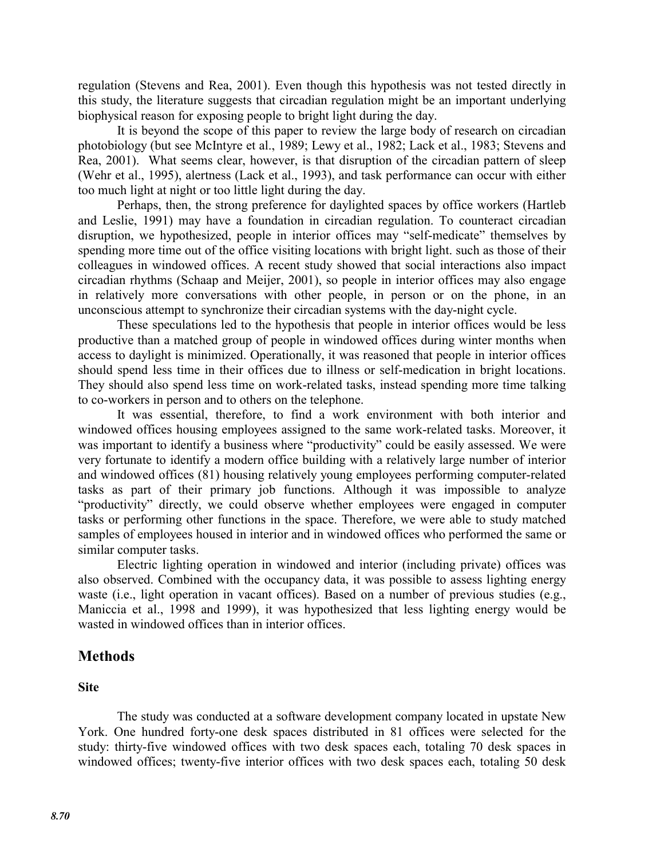regulation (Stevens and Rea, 2001). Even though this hypothesis was not tested directly in this study, the literature suggests that circadian regulation might be an important underlying biophysical reason for exposing people to bright light during the day.

 It is beyond the scope of this paper to review the large body of research on circadian photobiology (but see McIntyre et al., 1989; Lewy et al., 1982; Lack et al., 1983; Stevens and Rea, 2001). What seems clear, however, is that disruption of the circadian pattern of sleep (Wehr et al., 1995), alertness (Lack et al., 1993), and task performance can occur with either too much light at night or too little light during the day.

 Perhaps, then, the strong preference for daylighted spaces by office workers (Hartleb and Leslie, 1991) may have a foundation in circadian regulation. To counteract circadian disruption, we hypothesized, people in interior offices may "self-medicate" themselves by spending more time out of the office visiting locations with bright light. such as those of their colleagues in windowed offices. A recent study showed that social interactions also impact circadian rhythms (Schaap and Meijer, 2001), so people in interior offices may also engage in relatively more conversations with other people, in person or on the phone, in an unconscious attempt to synchronize their circadian systems with the day-night cycle.

 These speculations led to the hypothesis that people in interior offices would be less productive than a matched group of people in windowed offices during winter months when access to daylight is minimized. Operationally, it was reasoned that people in interior offices should spend less time in their offices due to illness or self-medication in bright locations. They should also spend less time on work-related tasks, instead spending more time talking to co-workers in person and to others on the telephone.

It was essential, therefore, to find a work environment with both interior and windowed offices housing employees assigned to the same work-related tasks. Moreover, it was important to identify a business where "productivity" could be easily assessed. We were very fortunate to identify a modern office building with a relatively large number of interior and windowed offices (81) housing relatively young employees performing computer-related tasks as part of their primary job functions. Although it was impossible to analyze "productivity" directly, we could observe whether employees were engaged in computer tasks or performing other functions in the space. Therefore, we were able to study matched samples of employees housed in interior and in windowed offices who performed the same or similar computer tasks.

Electric lighting operation in windowed and interior (including private) offices was also observed. Combined with the occupancy data, it was possible to assess lighting energy waste (i.e., light operation in vacant offices). Based on a number of previous studies (e.g., Maniccia et al., 1998 and 1999), it was hypothesized that less lighting energy would be wasted in windowed offices than in interior offices.

## **Methods**

## **Site**

The study was conducted at a software development company located in upstate New York. One hundred forty-one desk spaces distributed in 81 offices were selected for the study: thirty-five windowed offices with two desk spaces each, totaling 70 desk spaces in windowed offices; twenty-five interior offices with two desk spaces each, totaling 50 desk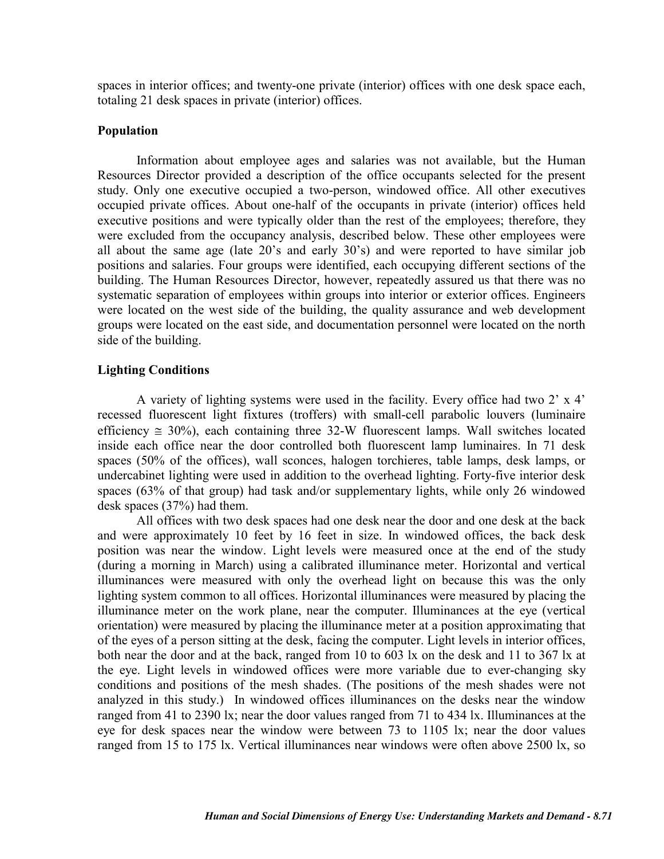spaces in interior offices; and twenty-one private (interior) offices with one desk space each, totaling 21 desk spaces in private (interior) offices.

#### **Population**

Information about employee ages and salaries was not available, but the Human Resources Director provided a description of the office occupants selected for the present study. Only one executive occupied a two-person, windowed office. All other executives occupied private offices. About one-half of the occupants in private (interior) offices held executive positions and were typically older than the rest of the employees; therefore, they were excluded from the occupancy analysis, described below. These other employees were all about the same age (late 20's and early 30's) and were reported to have similar job positions and salaries. Four groups were identified, each occupying different sections of the building. The Human Resources Director, however, repeatedly assured us that there was no systematic separation of employees within groups into interior or exterior offices. Engineers were located on the west side of the building, the quality assurance and web development groups were located on the east side, and documentation personnel were located on the north side of the building.

#### **Lighting Conditions**

A variety of lighting systems were used in the facility. Every office had two 2' x 4' recessed fluorescent light fixtures (troffers) with small-cell parabolic louvers (luminaire efficiency  $\approx 30\%$ ), each containing three 32-W fluorescent lamps. Wall switches located inside each office near the door controlled both fluorescent lamp luminaires. In 71 desk spaces (50% of the offices), wall sconces, halogen torchieres, table lamps, desk lamps, or undercabinet lighting were used in addition to the overhead lighting. Forty-five interior desk spaces (63% of that group) had task and/or supplementary lights, while only 26 windowed desk spaces (37%) had them.

All offices with two desk spaces had one desk near the door and one desk at the back and were approximately 10 feet by 16 feet in size. In windowed offices, the back desk position was near the window. Light levels were measured once at the end of the study (during a morning in March) using a calibrated illuminance meter. Horizontal and vertical illuminances were measured with only the overhead light on because this was the only lighting system common to all offices. Horizontal illuminances were measured by placing the illuminance meter on the work plane, near the computer. Illuminances at the eye (vertical orientation) were measured by placing the illuminance meter at a position approximating that of the eyes of a person sitting at the desk, facing the computer. Light levels in interior offices, both near the door and at the back, ranged from 10 to 603 lx on the desk and 11 to 367 lx at the eye. Light levels in windowed offices were more variable due to ever-changing sky conditions and positions of the mesh shades. (The positions of the mesh shades were not analyzed in this study.) In windowed offices illuminances on the desks near the window ranged from 41 to 2390 lx; near the door values ranged from 71 to 434 lx. Illuminances at the eye for desk spaces near the window were between 73 to 1105 lx; near the door values ranged from 15 to 175 lx. Vertical illuminances near windows were often above 2500 lx, so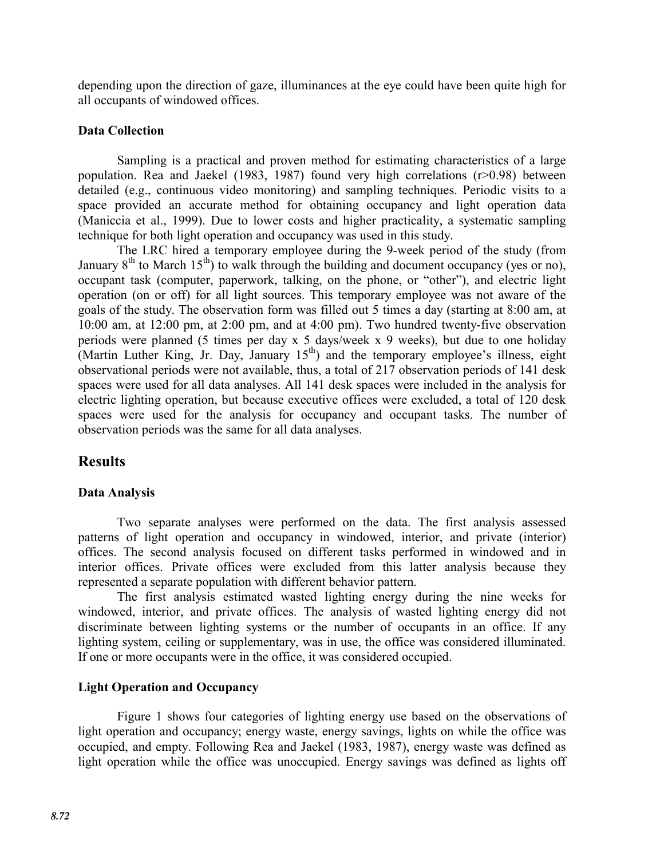depending upon the direction of gaze, illuminances at the eye could have been quite high for all occupants of windowed offices.

## **Data Collection**

Sampling is a practical and proven method for estimating characteristics of a large population. Rea and Jaekel (1983, 1987) found very high correlations (r>0.98) between detailed (e.g., continuous video monitoring) and sampling techniques. Periodic visits to a space provided an accurate method for obtaining occupancy and light operation data (Maniccia et al., 1999). Due to lower costs and higher practicality, a systematic sampling technique for both light operation and occupancy was used in this study.

The LRC hired a temporary employee during the 9-week period of the study (from January  $8<sup>th</sup>$  to March 15<sup>th</sup>) to walk through the building and document occupancy (yes or no), occupant task (computer, paperwork, talking, on the phone, or "other"), and electric light operation (on or off) for all light sources. This temporary employee was not aware of the goals of the study. The observation form was filled out 5 times a day (starting at 8:00 am, at 10:00 am, at 12:00 pm, at 2:00 pm, and at 4:00 pm). Two hundred twenty-five observation periods were planned (5 times per day x 5 days/week x 9 weeks), but due to one holiday (Martin Luther King, Jr. Day, January  $15<sup>th</sup>$ ) and the temporary employee's illness, eight observational periods were not available, thus, a total of 217 observation periods of 141 desk spaces were used for all data analyses. All 141 desk spaces were included in the analysis for electric lighting operation, but because executive offices were excluded, a total of 120 desk spaces were used for the analysis for occupancy and occupant tasks. The number of observation periods was the same for all data analyses.

# **Results**

## **Data Analysis**

Two separate analyses were performed on the data. The first analysis assessed patterns of light operation and occupancy in windowed, interior, and private (interior) offices. The second analysis focused on different tasks performed in windowed and in interior offices. Private offices were excluded from this latter analysis because they represented a separate population with different behavior pattern.

The first analysis estimated wasted lighting energy during the nine weeks for windowed, interior, and private offices. The analysis of wasted lighting energy did not discriminate between lighting systems or the number of occupants in an office. If any lighting system, ceiling or supplementary, was in use, the office was considered illuminated. If one or more occupants were in the office, it was considered occupied.

#### **Light Operation and Occupancy**

Figure 1 shows four categories of lighting energy use based on the observations of light operation and occupancy; energy waste, energy savings, lights on while the office was occupied, and empty. Following Rea and Jaekel (1983, 1987), energy waste was defined as light operation while the office was unoccupied. Energy savings was defined as lights off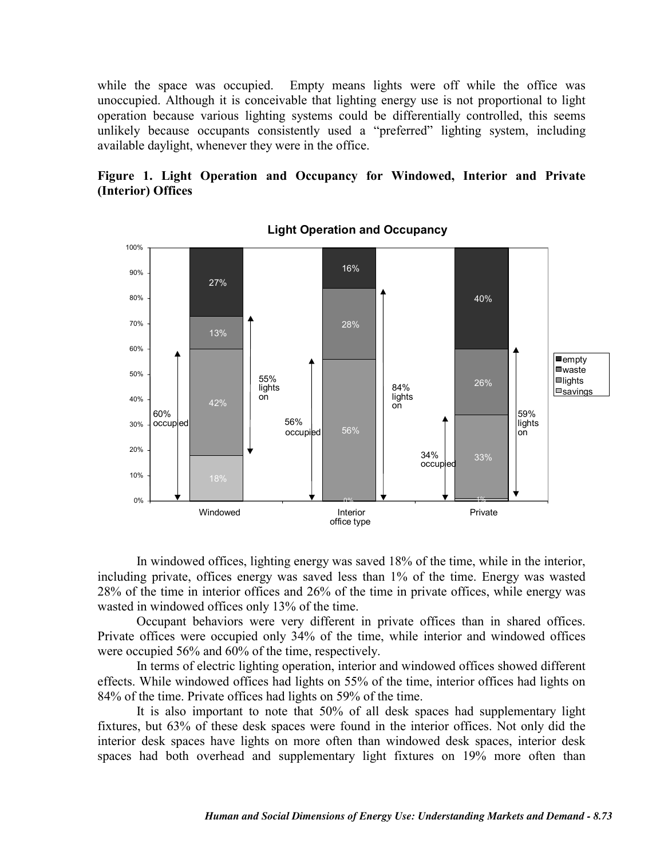while the space was occupied. Empty means lights were off while the office was unoccupied. Although it is conceivable that lighting energy use is not proportional to light operation because various lighting systems could be differentially controlled, this seems unlikely because occupants consistently used a "preferred" lighting system, including available daylight, whenever they were in the office.

## **Figure 1. Light Operation and Occupancy for Windowed, Interior and Private (Interior) Offices**



**Light Operation and Occupancy**

In windowed offices, lighting energy was saved 18% of the time, while in the interior, including private, offices energy was saved less than 1% of the time. Energy was wasted 28% of the time in interior offices and 26% of the time in private offices, while energy was wasted in windowed offices only 13% of the time.

Occupant behaviors were very different in private offices than in shared offices. Private offices were occupied only 34% of the time, while interior and windowed offices were occupied 56% and 60% of the time, respectively.

In terms of electric lighting operation, interior and windowed offices showed different effects. While windowed offices had lights on 55% of the time, interior offices had lights on 84% of the time. Private offices had lights on 59% of the time.

It is also important to note that 50% of all desk spaces had supplementary light fixtures, but 63% of these desk spaces were found in the interior offices. Not only did the interior desk spaces have lights on more often than windowed desk spaces, interior desk spaces had both overhead and supplementary light fixtures on 19% more often than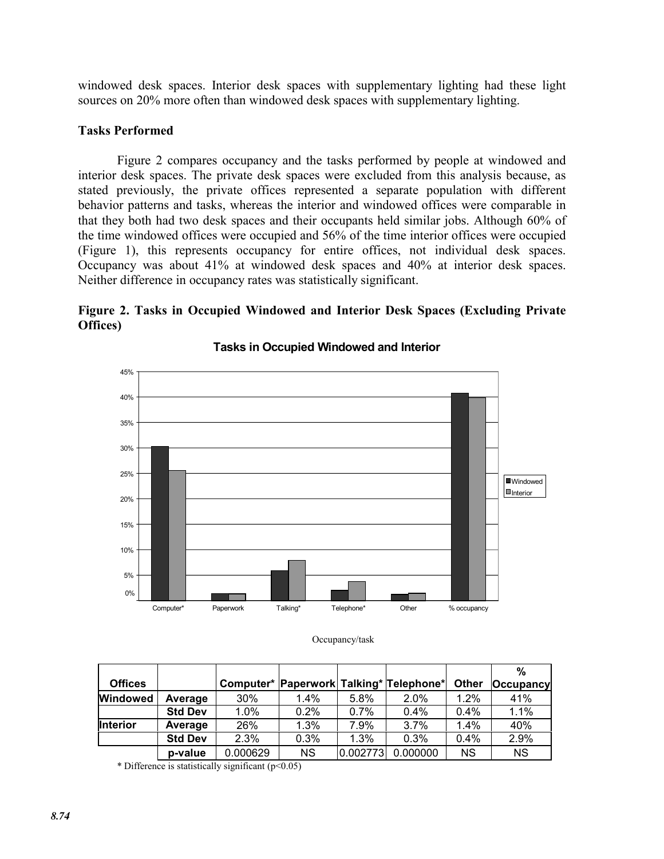windowed desk spaces. Interior desk spaces with supplementary lighting had these light sources on 20% more often than windowed desk spaces with supplementary lighting.

#### **Tasks Performed**

Figure 2 compares occupancy and the tasks performed by people at windowed and interior desk spaces. The private desk spaces were excluded from this analysis because, as stated previously, the private offices represented a separate population with different behavior patterns and tasks, whereas the interior and windowed offices were comparable in that they both had two desk spaces and their occupants held similar jobs. Although 60% of the time windowed offices were occupied and 56% of the time interior offices were occupied (Figure 1), this represents occupancy for entire offices, not individual desk spaces. Occupancy was about 41% at windowed desk spaces and 40% at interior desk spaces. Neither difference in occupancy rates was statistically significant.

## **Figure 2. Tasks in Occupied Windowed and Interior Desk Spaces (Excluding Private Offices)**



**Tasks in Occupied Windowed and Interior** 

Occupancy/task

|                |                |          |           |          |                                         |              | %                |
|----------------|----------------|----------|-----------|----------|-----------------------------------------|--------------|------------------|
| <b>Offices</b> |                |          |           |          | Computer* Paperwork Talking* Telephone* | <b>Other</b> | <b>Occupancy</b> |
| Windowed       | Average        | 30%      | 1.4%      | 5.8%     | $2.0\%$                                 | $1.2\%$      | 41%              |
|                | <b>Std Dev</b> | 1.0%     | 0.2%      | $0.7\%$  | $0.4\%$                                 | $0.4\%$      | 1.1%             |
| Interior       | Average        | 26%      | 1.3%      | 7.9%     | 3.7%                                    | 1.4%         | 40%              |
|                | <b>Std Dev</b> | 2.3%     | 0.3%      | 1.3%     | 0.3%                                    | $0.4\%$      | 2.9%             |
|                | p-value        | 0.000629 | <b>NS</b> | 0.002773 | 0.000000                                | <b>NS</b>    | <b>NS</b>        |

\* Difference is statistically significant  $(p<0.05)$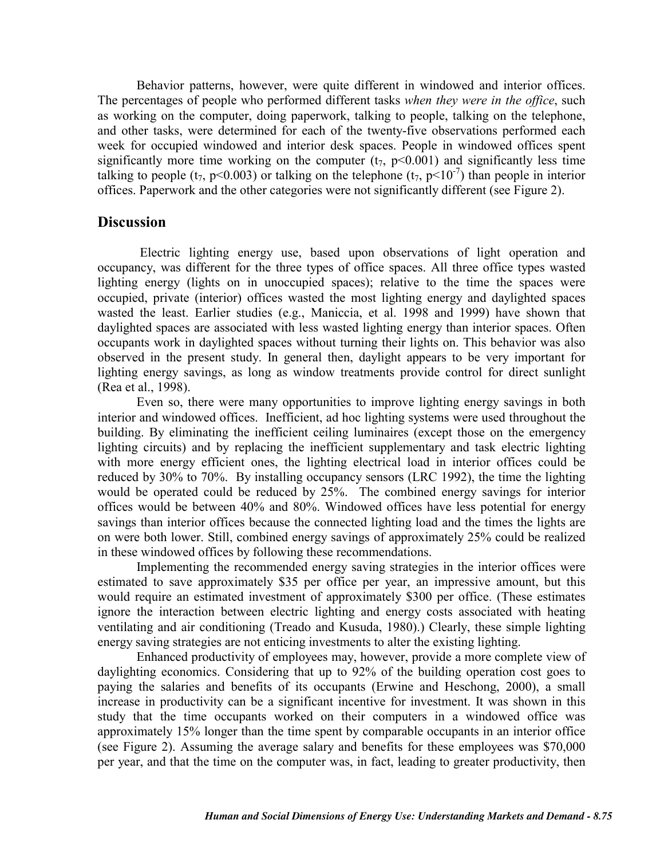Behavior patterns, however, were quite different in windowed and interior offices. The percentages of people who performed different tasks *when they were in the office*, such as working on the computer, doing paperwork, talking to people, talking on the telephone, and other tasks, were determined for each of the twenty-five observations performed each week for occupied windowed and interior desk spaces. People in windowed offices spent significantly more time working on the computer  $(t_7, p<0.001)$  and significantly less time talking to people (t<sub>7</sub>, p<0.003) or talking on the telephone (t<sub>7</sub>, p<10<sup>-7</sup>) than people in interior offices. Paperwork and the other categories were not significantly different (see Figure 2).

## **Discussion**

Electric lighting energy use, based upon observations of light operation and occupancy, was different for the three types of office spaces. All three office types wasted lighting energy (lights on in unoccupied spaces); relative to the time the spaces were occupied, private (interior) offices wasted the most lighting energy and daylighted spaces wasted the least. Earlier studies (e.g., Maniccia, et al. 1998 and 1999) have shown that daylighted spaces are associated with less wasted lighting energy than interior spaces. Often occupants work in daylighted spaces without turning their lights on. This behavior was also observed in the present study. In general then, daylight appears to be very important for lighting energy savings, as long as window treatments provide control for direct sunlight (Rea et al., 1998).

Even so, there were many opportunities to improve lighting energy savings in both interior and windowed offices. Inefficient, ad hoc lighting systems were used throughout the building. By eliminating the inefficient ceiling luminaires (except those on the emergency lighting circuits) and by replacing the inefficient supplementary and task electric lighting with more energy efficient ones, the lighting electrical load in interior offices could be reduced by 30% to 70%. By installing occupancy sensors (LRC 1992), the time the lighting would be operated could be reduced by 25%. The combined energy savings for interior offices would be between 40% and 80%. Windowed offices have less potential for energy savings than interior offices because the connected lighting load and the times the lights are on were both lower. Still, combined energy savings of approximately 25% could be realized in these windowed offices by following these recommendations.

Implementing the recommended energy saving strategies in the interior offices were estimated to save approximately \$35 per office per year, an impressive amount, but this would require an estimated investment of approximately \$300 per office. (These estimates ignore the interaction between electric lighting and energy costs associated with heating ventilating and air conditioning (Treado and Kusuda, 1980).) Clearly, these simple lighting energy saving strategies are not enticing investments to alter the existing lighting.

Enhanced productivity of employees may, however, provide a more complete view of daylighting economics. Considering that up to 92% of the building operation cost goes to paying the salaries and benefits of its occupants (Erwine and Heschong, 2000), a small increase in productivity can be a significant incentive for investment. It was shown in this study that the time occupants worked on their computers in a windowed office was approximately 15% longer than the time spent by comparable occupants in an interior office (see Figure 2). Assuming the average salary and benefits for these employees was \$70,000 per year, and that the time on the computer was, in fact, leading to greater productivity, then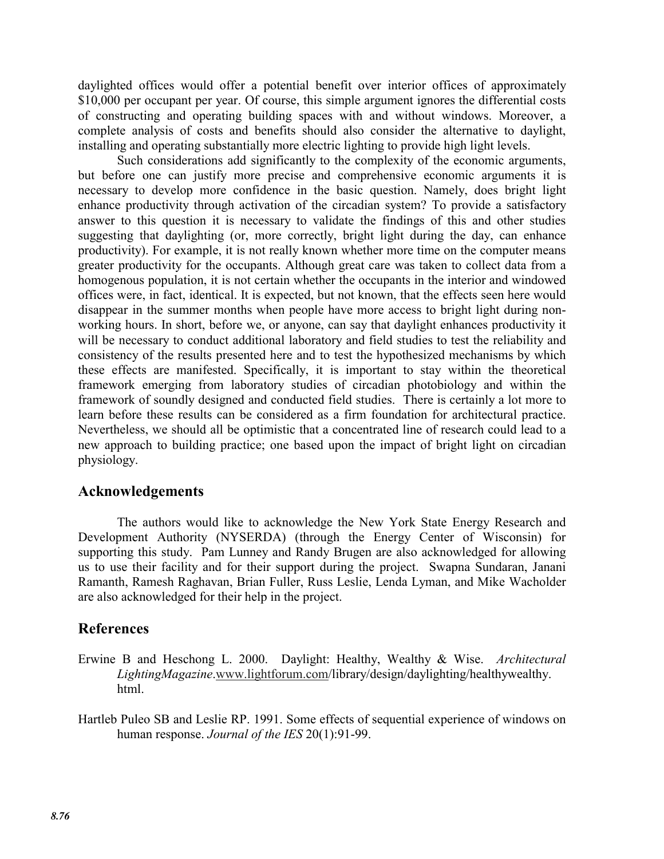daylighted offices would offer a potential benefit over interior offices of approximately \$10,000 per occupant per year. Of course, this simple argument ignores the differential costs of constructing and operating building spaces with and without windows. Moreover, a complete analysis of costs and benefits should also consider the alternative to daylight, installing and operating substantially more electric lighting to provide high light levels.

Such considerations add significantly to the complexity of the economic arguments, but before one can justify more precise and comprehensive economic arguments it is necessary to develop more confidence in the basic question. Namely, does bright light enhance productivity through activation of the circadian system? To provide a satisfactory answer to this question it is necessary to validate the findings of this and other studies suggesting that daylighting (or, more correctly, bright light during the day, can enhance productivity). For example, it is not really known whether more time on the computer means greater productivity for the occupants. Although great care was taken to collect data from a homogenous population, it is not certain whether the occupants in the interior and windowed offices were, in fact, identical. It is expected, but not known, that the effects seen here would disappear in the summer months when people have more access to bright light during nonworking hours. In short, before we, or anyone, can say that daylight enhances productivity it will be necessary to conduct additional laboratory and field studies to test the reliability and consistency of the results presented here and to test the hypothesized mechanisms by which these effects are manifested. Specifically, it is important to stay within the theoretical framework emerging from laboratory studies of circadian photobiology and within the framework of soundly designed and conducted field studies. There is certainly a lot more to learn before these results can be considered as a firm foundation for architectural practice. Nevertheless, we should all be optimistic that a concentrated line of research could lead to a new approach to building practice; one based upon the impact of bright light on circadian physiology.

## **Acknowledgements**

The authors would like to acknowledge the New York State Energy Research and Development Authority (NYSERDA) (through the Energy Center of Wisconsin) for supporting this study. Pam Lunney and Randy Brugen are also acknowledged for allowing us to use their facility and for their support during the project. Swapna Sundaran, Janani Ramanth, Ramesh Raghavan, Brian Fuller, Russ Leslie, Lenda Lyman, and Mike Wacholder are also acknowledged for their help in the project.

# **References**

- Erwine B and Heschong L. 2000. Daylight: Healthy, Wealthy & Wise. *Architectural LightingMagazine*.www.lightforum.com/library/design/daylighting/healthywealthy. html.
- Hartleb Puleo SB and Leslie RP. 1991. Some effects of sequential experience of windows on human response. *Journal of the IES* 20(1):91-99.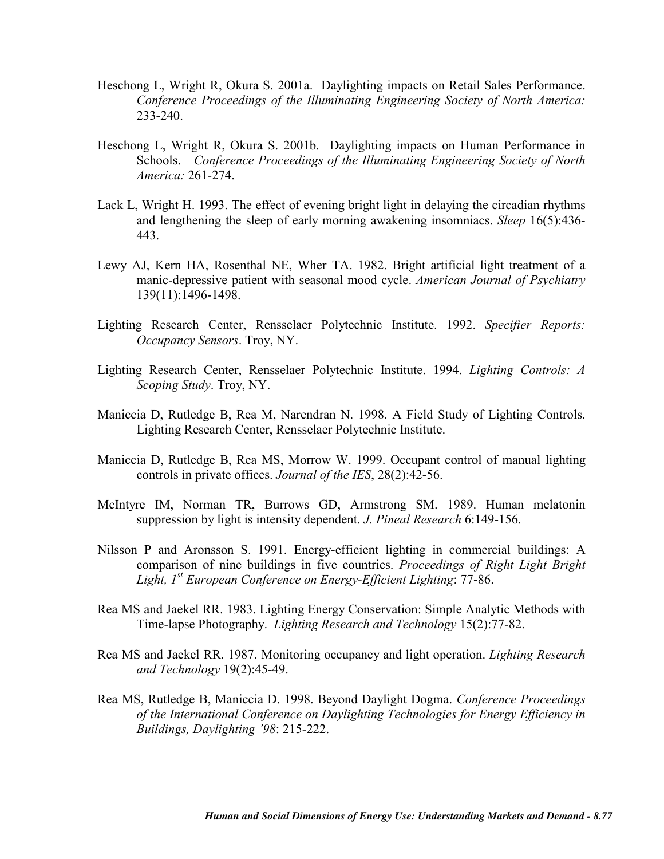- Heschong L, Wright R, Okura S. 2001a. Daylighting impacts on Retail Sales Performance. *Conference Proceedings of the Illuminating Engineering Society of North America:*  233-240.
- Heschong L, Wright R, Okura S. 2001b. Daylighting impacts on Human Performance in Schools. *Conference Proceedings of the Illuminating Engineering Society of North America:* 261-274.
- Lack L, Wright H. 1993. The effect of evening bright light in delaying the circadian rhythms and lengthening the sleep of early morning awakening insomniacs. *Sleep* 16(5):436- 443.
- Lewy AJ, Kern HA, Rosenthal NE, Wher TA. 1982. Bright artificial light treatment of a manic-depressive patient with seasonal mood cycle. *American Journal of Psychiatry* 139(11):1496-1498.
- Lighting Research Center, Rensselaer Polytechnic Institute. 1992. *Specifier Reports: Occupancy Sensors*. Troy, NY.
- Lighting Research Center, Rensselaer Polytechnic Institute. 1994. *Lighting Controls: A Scoping Study*. Troy, NY.
- Maniccia D, Rutledge B, Rea M, Narendran N. 1998. A Field Study of Lighting Controls. Lighting Research Center, Rensselaer Polytechnic Institute.
- Maniccia D, Rutledge B, Rea MS, Morrow W. 1999. Occupant control of manual lighting controls in private offices. *Journal of the IES*, 28(2):42-56.
- McIntyre IM, Norman TR, Burrows GD, Armstrong SM. 1989. Human melatonin suppression by light is intensity dependent. *J. Pineal Research* 6:149-156.
- Nilsson P and Aronsson S. 1991. Energy-efficient lighting in commercial buildings: A comparison of nine buildings in five countries. *Proceedings of Right Light Bright Light, 1st European Conference on Energy-Efficient Lighting*: 77-86.
- Rea MS and Jaekel RR. 1983. Lighting Energy Conservation: Simple Analytic Methods with Time-lapse Photography. *Lighting Research and Technology* 15(2):77-82.
- Rea MS and Jaekel RR. 1987. Monitoring occupancy and light operation. *Lighting Research and Technology* 19(2):45-49.
- Rea MS, Rutledge B, Maniccia D. 1998. Beyond Daylight Dogma. *Conference Proceedings of the International Conference on Daylighting Technologies for Energy Efficiency in Buildings, Daylighting '98*: 215-222.